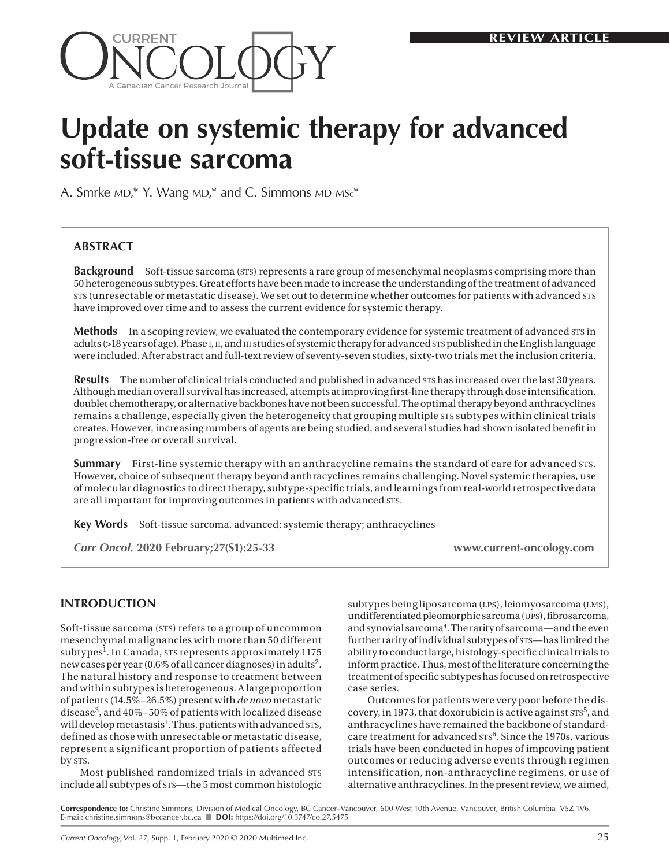

# **Update on systemic therapy for advanced soft-tissue sarcoma**

A. Smrke  $MD,*$  Y. Wang  $MD,*$  and C. Simmons  $MD$   $MSc*$ 

## **ABSTRACT**

**Background** Soft-tissue sarcoma (STS) represents a rare group of mesenchymal neoplasms comprising more than 50 heterogeneous subtypes. Great efforts have been made to increase the understanding of the treatment of advanced sts (unresectable or metastatic disease). We set out to determine whether outcomes for patients with advanced sts have improved over time and to assess the current evidence for systemic therapy.

**Methods** In a scoping review, we evaluated the contemporary evidence for systemic treatment of advanced sts in adults (>18 years of age). Phase i, ii, and iii studies of systemic therapy for advanced sts published in the English language were included. After abstract and full-text review of seventy-seven studies, sixty-two trials met the inclusion criteria.

**Results** The number of clinical trials conducted and published in advanced sts has increased over the last 30 years. Although median overall survival has increased, attempts at improving first-line therapy through dose intensification, doublet chemotherapy, or alternative backbones have not been successful. The optimal therapy beyond anthracyclines remains a challenge, especially given the heterogeneity that grouping multiple sts subtypes within clinical trials creates. However, increasing numbers of agents are being studied, and several studies had shown isolated benefit in progression-free or overall survival.

**Summary** First-line systemic therapy with an anthracycline remains the standard of care for advanced sts. However, choice of subsequent therapy beyond anthracyclines remains challenging. Novel systemic therapies, use of molecular diagnostics to direct therapy, subtype-specific trials, and learnings from real-world retrospective data are all important for improving outcomes in patients with advanced STS.

**Key Words** Soft-tissue sarcoma, advanced; systemic therapy; anthracyclines

*Curr Oncol.* **2020 February;27(S1):25-33 www.current-oncology.com**

## **INTRODUCTION**

Soft-tissue sarcoma (STS) refers to a group of uncommon mesenchymal malignancies with more than 50 different subtypes<sup>1</sup>. In Canada, sts represents approximately 1175 new cases per year (0.6% of all cancer diagnoses) in adults2. The natural history and response to treatment between and within subtypes is heterogeneous. A large proportion of patients (14.5%–26.5%) present with *de novo* metastatic disease3, and 40%–50% of patients with localized disease will develop metastasis<sup>1</sup>. Thus, patients with advanced sts, defined as those with unresectable or metastatic disease, represent a significant proportion of patients affected by sts.

Most published randomized trials in advanced STS include all subtypes of sts—the 5 most common histologic subtypes being liposarcoma (LPS), leiomyosarcoma (LMS), undifferentiated pleomorphic sarcoma (ups), fibrosarcoma, and synovial sarcoma<sup>4</sup>. The rarity of sarcoma—and the even further rarity of individual subtypes of sts—has limited the ability to conduct large, histology-specific clinical trials to inform practice. Thus, most of the literature concerning the treatment of specific subtypes has focused on retrospective case series.

Outcomes for patients were very poor before the discovery, in 1973, that doxorubicin is active against  $\text{STS}^5$ , and anthracyclines have remained the backbone of standardcare treatment for advanced  $\text{STS}^6$ . Since the 1970s, various trials have been conducted in hopes of improving patient outcomes or reducing adverse events through regimen intensification, non-anthracycline regimens, or use of alternative anthracyclines. In the present review, we aimed,

**Correspondence to:** Christine Simmons, Division of Medical Oncology, BC Cancer–Vancouver, 600 West 10th Avenue, Vancouver, British Columbia V5Z 1V6. E-mail: [christine.simmons@bccancer.bc.ca](mailto:christine.simmons@bccancer.bc.ca) n **DOI:** https://doi.org/10.3747/co.27.5475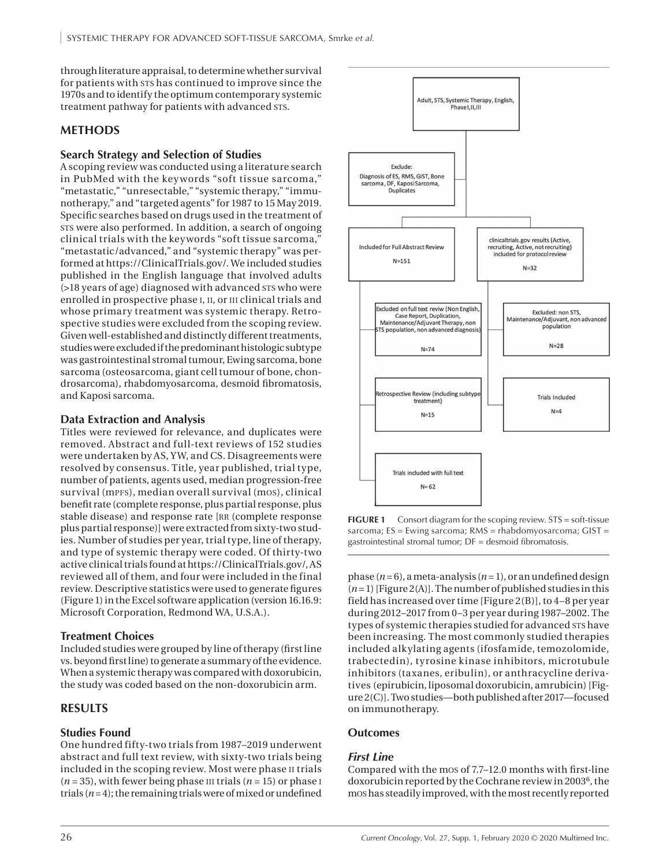through literature appraisal, to determine whether survival for patients with sts has continued to improve since the 1970s and to identify the optimum contemporary systemic treatment pathway for patients with advanced sts.

## **METHODS**

### **Search Strategy and Selection of Studies**

A scoping review was conducted using a literature search in PubMed with the key words "soft tissue sarcoma," "metastatic," "unresectable," "systemic therapy," "immunotherapy," and "targeted agents" for 1987 to 15 May 2019. Specific searches based on drugs used in the treatment of sts were also performed. In addition, a search of ongoing clinical trials with the keywords "soft tissue sarcoma," "metastatic/advanced," and "systemic therapy" was performed at [https://ClinicalTrials.gov/.](https://ClinicalTrials.gov/) We included studies published in the English language that involved adults (>18 years of age) diagnosed with advanced sts who were enrolled in prospective phase I, II, or III clinical trials and whose primary treatment was systemic therapy. Retrospective studies were excluded from the scoping review. Given well-established and distinctly different treatments, studies were excluded if the predominant histologic subtype was gastrointestinal stromal tumour, Ewing sarcoma, bone sarcoma (osteosarcoma, giant cell tumour of bone, chondrosarcoma), rhabdomyosarcoma, desmoid fibromatosis, and Kaposi sarcoma.

### **Data Extraction and Analysis**

Titles were reviewed for relevance, and duplicates were removed. Abstract and full-text reviews of 152 studies were undertaken by AS, YW, and CS. Disagreements were resolved by consensus. Title, year published, trial type, number of patients, agents used, median progression-free survival (mpfs), median overall survival (mos), clinical benefit rate (complete response, plus partial response, plus stable disease) and response rate [rr (complete response plus partial response)] were extracted from sixty-two studies. Number of studies per year, trial type, line of therapy, and type of systemic therapy were coded. Of thirty-two active clinical trials found at<https://ClinicalTrials.gov/>, AS reviewed all of them, and four were included in the final review. Descriptive statistics were used to generate figures (Figure 1) in the Excel software application (version 16.16.9: Microsoft Corporation, Redmond WA, U.S.A.).

### **Treatment Choices**

Included studies were grouped by line of therapy (first line vs. beyond first line) to generate a summary of the evidence. When a systemic therapy was compared with doxorubicin, the study was coded based on the non-doxorubicin arm.

## **RESULTS**

## **Studies Found**

One hundred fifty-two trials from 1987–2019 underwent abstract and full text review, with sixty-two trials being included in the scoping review. Most were phase ii trials  $(n = 35)$ , with fewer being phase III trials  $(n = 15)$  or phase I trials  $(n=4)$ ; the remaining trials were of mixed or undefined



**FIGURE 1** Consort diagram for the scoping review. STS = soft-tissue sarcoma; ES = Ewing sarcoma; RMS = rhabdomyosarcoma; GIST = gastrointestinal stromal tumor; DF = desmoid fibromatosis.

phase (*n*= 6), a meta-analysis (*n*= 1), or an undefined design  $(n=1)$  [Figure 2(A)]. The number of published studies in this field has increased over time [Figure 2(B)], to 4–8 per year during 2012–2017 from 0–3 per year during 1987–2002. The types of systemic therapies studied for advanced sts have been increasing. The most commonly studied therapies included alkylating agents (ifosfamide, temozolomide, trabectedin), tyrosine kinase inhibitors, microtubule inhibitors (taxanes, eribulin), or anthracycline derivatives (epirubicin, liposomal doxorubicin, amrubicin) [Figure 2(C)]. Two studies—both published after 2017—focused on immunotherapy.

### **Outcomes**

### *First Line*

Compared with the mos of 7.7–12.0 months with first-line doxorubicin reported by the Cochrane review in 2003<sup>6</sup>, the mos has steadily improved, with the most recently reported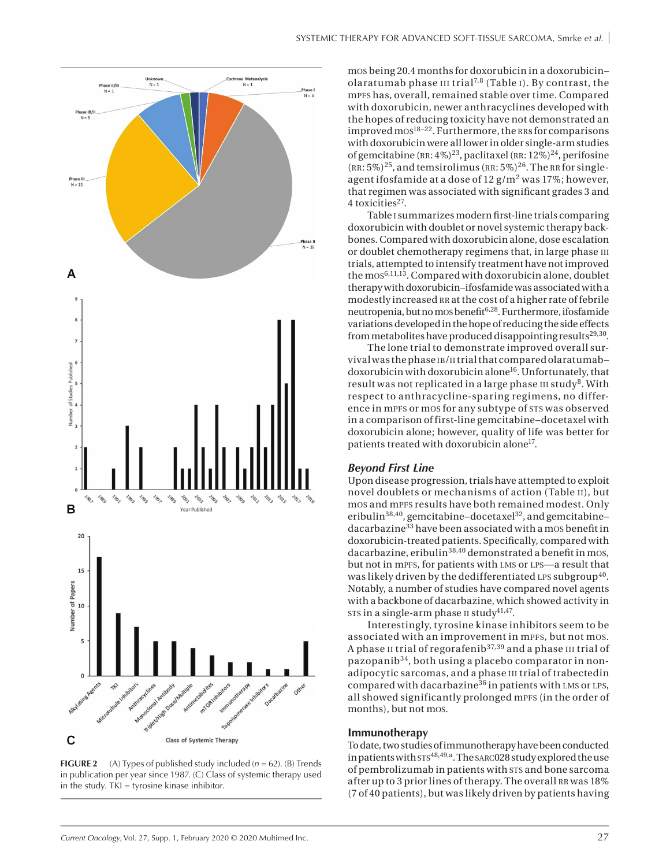

**FIGURE 2** (A) Types of published study included ( $n = 62$ ). (B) Trends in publication per year since 1987. (C) Class of systemic therapy used in the study.  $TKI = tyrosine kinase inhibitor$ .

mos being 20.4 months for doxorubicin in a doxorubicin– olaratumab phase  $III$  trial<sup>7,8</sup> (Table I). By contrast, the mpfs has, overall, remained stable over time. Compared with doxorubicin, newer anthracyclines developed with the hopes of reducing toxicity have not demonstrated an improved mos $18-22$ . Furthermore, the RRs for comparisons with doxorubicin were all lower in older single-arm studies of gemcitabine (RR:  $4\%$ )<sup>23</sup>, paclitaxel (RR:  $12\%$ )<sup>24</sup>, perifosine  $(RR: 5\%)^{25}$ , and temsirolimus  $(RR: 5\%)^{26}$ . The RR for singleagent ifosfamide at a dose of  $12$  g/m<sup>2</sup> was 17%; however, that regimen was associated with significant grades 3 and 4 toxicities<sup>27</sup>.

Table i summarizes modern first-line trials comparing doxorubicin with doublet or novel systemic therapy backbones. Compared with doxorubicin alone, dose escalation or doublet chemotherapy regimens that, in large phase III trials, attempted to intensify treatment have not improved the mos<sup>6,11,13</sup>. Compared with doxorubicin alone, doublet therapy with doxorubicin–ifosfamide was associated with a modestly increased RR at the cost of a higher rate of febrile neutropenia, but no mos benefit6,28. Furthermore, ifosfamide variations developed in the hope of reducing the side effects from metabolites have produced disappointing results<sup>29,30</sup>.

The lone trial to demonstrate improved overall survival was the phase ib/ii trial that compared olaratumab– doxorubicin with doxorubicin alone<sup>16</sup>. Unfortunately, that result was not replicated in a large phase  $III$  study<sup>8</sup>. With respect to anthracycline-sparing regimens, no difference in mpFs or mos for any subtype of STS was observed in a comparison of first-line gemcitabine–docetaxel with doxorubicin alone; however, quality of life was better for patients treated with doxorubicin alone<sup>17</sup>.

#### *Beyond First Line*

Upon disease progression, trials have attempted to exploit novel doublets or mechanisms of action (Table ii), but mos and mpFs results have both remained modest. Only eribulin<sup>38,40</sup>, gemcitabine–docetaxel<sup>32</sup>, and gemcitabine– dacarbazine<sup>33</sup> have been associated with a mos benefit in doxorubicin-treated patients. Specifically, compared with dacarbazine, eribulin<sup>38,40</sup> demonstrated a benefit in mos, but not in mpFs, for patients with LMS or LPS-a result that was likely driven by the dedifferentiated LPS subgroup<sup>40</sup>. Notably, a number of studies have compared novel agents with a backbone of dacarbazine, which showed activity in sts in a single-arm phase  $II$  study<sup>41,47</sup>.

Interestingly, tyrosine kinase inhibitors seem to be associated with an improvement in mpFs, but not mos. A phase II trial of regorafenib<sup>37,39</sup> and a phase III trial of pazopanib34, both using a placebo comparator in nonadipocytic sarcomas, and a phase iii trial of trabectedin compared with dacarbazine<sup>36</sup> in patients with LMS or LPS, all showed significantly prolonged mpFs (in the order of months), but not mos.

#### **Immunotherapy**

To date, two studies of immunotherapy have been conducted in patients with  $\text{STS}^{48,49,a}$ . The sarc028 study explored the use of pembrolizumab in patients with sts and bone sarcoma after up to 3 prior lines of therapy. The overall RR was 18% (7 of 40 patients), but was likely driven by patients having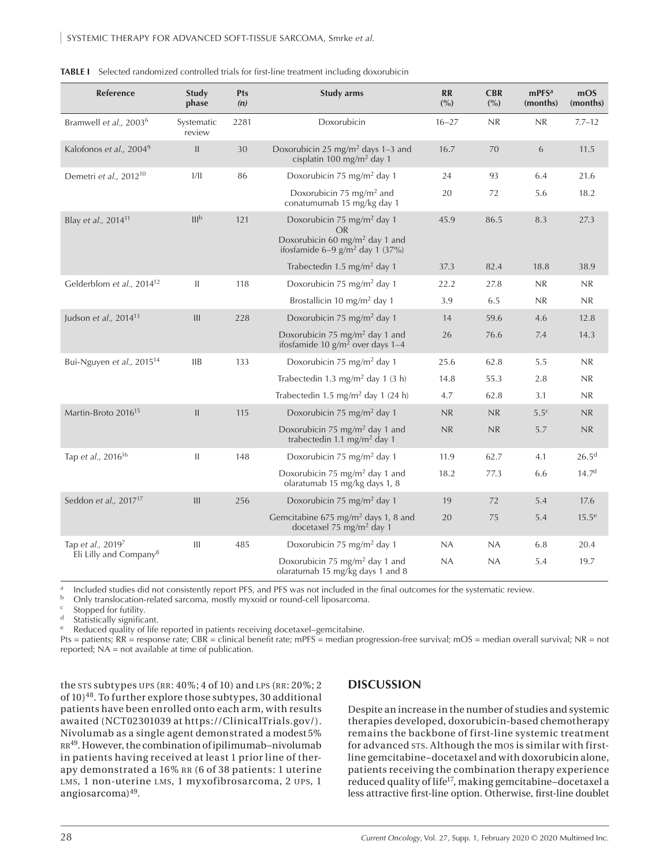| Reference                             | Study<br>phase       | <b>Pts</b><br>(n) | <b>Study arms</b>                                                                                                                           | <b>RR</b><br>(° <sub>0</sub> ) | <b>CBR</b><br>(%) | mPFS <sup>a</sup><br>(months) | mOS<br>(months)   |
|---------------------------------------|----------------------|-------------------|---------------------------------------------------------------------------------------------------------------------------------------------|--------------------------------|-------------------|-------------------------------|-------------------|
| Bramwell et al., 2003 <sup>6</sup>    | Systematic<br>review | 2281              | Doxorubicin                                                                                                                                 | $16 - 27$                      | NR                | NR.                           | $7.7 - 12$        |
| Kalofonos et al., 20049               | $\mathbf{II}$        | 30                | Doxorubicin 25 mg/m <sup>2</sup> days 1-3 and<br>cisplatin 100 mg/m <sup>2</sup> day 1                                                      | 16.7                           | 70                | 6                             | 11.5              |
| Demetri et al., 2012 <sup>10</sup>    | 1/11                 | 86                | Doxorubicin 75 mg/m <sup>2</sup> day 1                                                                                                      | 24                             | 93                | 6.4                           | 21.6              |
|                                       |                      |                   | Doxorubicin 75 mg/m <sup>2</sup> and<br>conatumumab 15 mg/kg day 1                                                                          | 20                             | 72                | 5.6                           | 18.2              |
| Blay et al., 2014 <sup>11</sup>       | III <sub>p</sub>     | 121               | Doxorubicin 75 mg/m <sup>2</sup> day 1<br>OR<br>Doxorubicin 60 mg/m <sup>2</sup> day 1 and<br>ifosfamide $6-9$ g/m <sup>2</sup> day 1 (37%) | 45.9                           | 86.5              | 8.3                           | 27.3              |
|                                       |                      |                   | Trabectedin 1.5 mg/m <sup>2</sup> day 1                                                                                                     | 37.3                           | 82.4              | 18.8                          | 38.9              |
| Gelderblom et al., 2014 <sup>12</sup> | $\mathbf{H}$         | 118               | Doxorubicin 75 mg/m <sup>2</sup> day 1                                                                                                      | 22.2                           | 27.8              | NR                            | NR                |
|                                       |                      |                   | Brostallicin 10 mg/m <sup>2</sup> day 1                                                                                                     | 3.9                            | 6.5               | N <sub>R</sub>                | N <sub>R</sub>    |
| Judson et al., 2014 <sup>13</sup>     | III                  | 228               | Doxorubicin 75 mg/m <sup>2</sup> day 1                                                                                                      | 14                             | 59.6              | 4.6                           | 12.8              |
|                                       |                      |                   | Doxorubicin 75 mg/m <sup>2</sup> day 1 and<br>ifosfamide 10 $g/m^2$ over days 1-4                                                           | 26                             | 76.6              | 7.4                           | 14.3              |
| Bui-Nguyen et al., 2015 <sup>14</sup> | <b>IIB</b>           | 133               | Doxorubicin 75 mg/m <sup>2</sup> day 1                                                                                                      | 25.6                           | 62.8              | 5.5                           | NR                |
|                                       |                      |                   | Trabectedin 1.3 mg/m <sup>2</sup> day 1 (3 h)                                                                                               | 14.8                           | 55.3              | 2.8                           | N <sub>R</sub>    |
|                                       |                      |                   | Trabectedin 1.5 mg/m <sup>2</sup> day 1 (24 h)                                                                                              | 4.7                            | 62.8              | 3.1                           | NR                |
| Martin-Broto 2016 <sup>15</sup>       | $\mathbf{II}$        | 115               | Doxorubicin 75 mg/m <sup>2</sup> day 1                                                                                                      | NR                             | NR                | 5.5 <sup>c</sup>              | NR                |
|                                       |                      |                   | Doxorubicin 75 mg/m <sup>2</sup> day 1 and<br>trabectedin 1.1 mg/m <sup>2</sup> day 1                                                       | NR                             | NR                | 5.7                           | NR                |
| Tap et al., 2016 <sup>16</sup>        | $\mathbf{II}$        | 148               | Doxorubicin 75 mg/m <sup>2</sup> day 1                                                                                                      | 11.9                           | 62.7              | 4.1                           | 26.5 <sup>d</sup> |
|                                       |                      |                   | Doxorubicin 75 mg/m <sup>2</sup> day 1 and<br>olaratumab 15 mg/kg days 1, 8                                                                 | 18.2                           | 77.3              | 6.6                           | 14.7 <sup>d</sup> |
| Seddon et al., 2017 <sup>17</sup>     | III                  | 256               | Doxorubicin 75 mg/m <sup>2</sup> day 1                                                                                                      | 19                             | 72                | 5.4                           | 17.6              |
|                                       |                      |                   | Gemcitabine 675 mg/m <sup>2</sup> days 1, 8 and<br>docetaxel 75 mg/m <sup>2</sup> day 1                                                     | 20                             | 75                | 5.4                           | $15.5^e$          |
| Tap et al., 20197                     | Ш                    | 485               | Doxorubicin 75 mg/m <sup>2</sup> day 1                                                                                                      | NA                             | NA                | 6.8                           | 20.4              |
| Eli Lilly and Company <sup>8</sup>    |                      |                   | Doxorubicin 75 mg/m <sup>2</sup> day 1 and<br>olaratumab 15 mg/Kg days 1 and 8                                                              | NA                             | NA                | 5.4                           | 19.7              |

|  |  | TABLE I Selected randomized controlled trials for first-line treatment including doxorubicin |  |
|--|--|----------------------------------------------------------------------------------------------|--|
|--|--|----------------------------------------------------------------------------------------------|--|

<sup>a</sup> Included studies did not consistently report PFS, and PFS was not included in the final outcomes for the systematic review.<br>
<sup>b</sup> Only translocation-related sarcoma, mostly myxoid or round-cell linesarcoma.

 $\frac{b}{c}$  Only translocation-related sarcoma, mostly myxoid or round-cell liposarcoma.

 $\frac{c}{d}$  Stopped for futility.

Statistically significant.

Reduced quality of life reported in patients receiving docetaxel–gemcitabine.

Pts = patients; RR = response rate; CBR = clinical benefit rate; mPFS = median progression-free survival; mOS = median overall survival; NR = not reported; NA = not available at time of publication.

the sts subtypes UPS (RR: 40%; 4 of 10) and LPS (RR: 20%; 2 of 10)<sup>48</sup>. To further explore those subtypes, 30 additional patients have been enrolled onto each arm, with results awaited (NCT02301039 at https://ClinicalTrials.gov/). Nivolumab as a single agent demonstrated a modest 5% RR<sup>49</sup>. However, the combination of ipilimumab-nivolumab in patients having received at least 1 prior line of therapy demonstrated a 16% RR (6 of 38 patients: 1 uterine LMS, 1 non-uterine LMS, 1 myxofibrosarcoma, 2 UPS, 1 angiosarcoma)49.

### **DISCUSSION**

Despite an increase in the number of studies and systemic therapies developed, doxorubicin-based chemotherapy remains the backbone of first-line systemic treatment for advanced sts. Although the mos is similar with firstline gemcitabine–docetaxel and with doxorubicin alone, patients receiving the combination therapy experience reduced quality of life<sup>17</sup>, making gemcitabine-docetaxel a less attractive first-line option. Otherwise, first-line doublet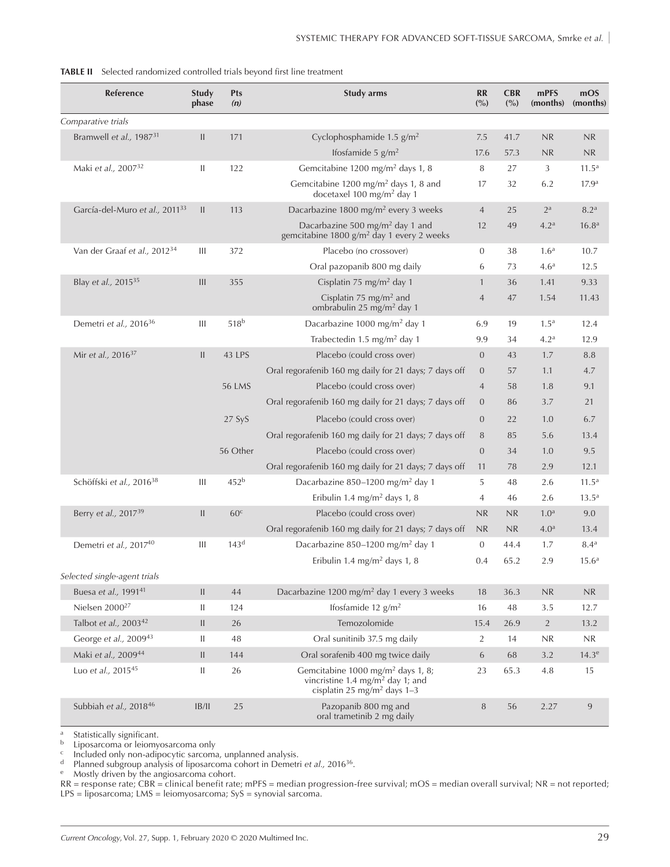| <b>TABLE II</b> Selected randomized controlled trials beyond first line treatment |  |
|-----------------------------------------------------------------------------------|--|
|-----------------------------------------------------------------------------------|--|

| Reference                                  | Study<br>phase                     | Pts<br>(n)       | <b>Study arms</b>                                                                                                                        | <b>RR</b><br>(° <sub>0</sub> ) | <b>CBR</b><br>(° <sub>0</sub> ) | mPFS<br>(months)                  | mOS<br>(months)   |
|--------------------------------------------|------------------------------------|------------------|------------------------------------------------------------------------------------------------------------------------------------------|--------------------------------|---------------------------------|-----------------------------------|-------------------|
| Comparative trials                         |                                    |                  |                                                                                                                                          |                                |                                 |                                   |                   |
| Bramwell et al., 1987 <sup>31</sup>        | $\mathbf{II}$                      | 171              | Cyclophosphamide $1.5$ g/m <sup>2</sup>                                                                                                  | 7.5                            | 41.7                            | NR.                               | <b>NR</b>         |
|                                            |                                    |                  | Ifosfamide 5 $g/m2$                                                                                                                      | 17.6                           | 57.3                            | NR                                | NR                |
| Maki et al., 2007 <sup>32</sup>            | Ш                                  | 122              | Gemcitabine 1200 mg/m <sup>2</sup> days 1, 8                                                                                             | 8                              | 27                              | 3                                 | 11.5 <sup>a</sup> |
|                                            |                                    |                  | Gemcitabine 1200 mg/m <sup>2</sup> days 1, 8 and<br>docetaxel 100 mg/m <sup>2</sup> day 1                                                | 17                             | 32                              | 6.2                               | 17.9 <sup>a</sup> |
| García-del-Muro et al., 2011 <sup>33</sup> | $\mathbf{II}$                      | 113              | Dacarbazine 1800 mg/m <sup>2</sup> every 3 weeks                                                                                         | $\overline{4}$                 | 25                              | $2^a$                             | 8.2 <sup>a</sup>  |
|                                            |                                    |                  | Dacarbazine 500 mg/m <sup>2</sup> day 1 and<br>gemcitabine 1800 g/m <sup>2</sup> day 1 every 2 weeks                                     | 12                             | 49                              | 4.2 <sup>a</sup>                  | 16.8 <sup>a</sup> |
| Van der Graaf et al., 2012 <sup>34</sup>   | Ш                                  | 372              | Placebo (no crossover)                                                                                                                   | $\mathbf{0}$                   | 38                              | 1.6 <sup>a</sup>                  | 10.7              |
|                                            |                                    |                  | Oral pazopanib 800 mg daily                                                                                                              | 6                              | 73                              | 4.6 <sup>a</sup>                  | 12.5              |
| Blay et al., 2015 <sup>35</sup>            | III                                | 355              | Cisplatin 75 mg/m <sup>2</sup> day 1                                                                                                     | $\mathbf{1}$                   | 36                              | 1.41                              | 9.33              |
|                                            |                                    |                  | Cisplatin 75 mg/m <sup>2</sup> and<br>ombrabulin 25 mg/m <sup>2</sup> day 1                                                              | $\overline{4}$                 | 47                              | 1.54                              | 11.43             |
| Demetri et al., 2016 <sup>36</sup>         | Ш                                  | 518 <sup>b</sup> | Dacarbazine 1000 mg/m <sup>2</sup> day 1                                                                                                 | 6.9                            | 19                              | 1.5 <sup>a</sup>                  | 12.4              |
|                                            |                                    |                  | Trabectedin 1.5 mg/m <sup>2</sup> day 1                                                                                                  | 9.9                            | 34                              | 4.2 <sup>a</sup>                  | 12.9              |
| Mir et al., 2016 <sup>37</sup>             | $\mathbf{II}$                      | 43 LPS           | Placebo (could cross over)                                                                                                               | $\overline{0}$                 | 43                              | 1.7                               | 8.8               |
|                                            |                                    |                  | Oral regorafenib 160 mg daily for 21 days; 7 days off                                                                                    | $\overline{0}$                 | 57                              | 1.1                               | 4.7               |
|                                            |                                    | <b>56 LMS</b>    | Placebo (could cross over)                                                                                                               | $\overline{4}$                 | 58                              | 1.8                               | 9.1               |
|                                            |                                    |                  | Oral regorafenib 160 mg daily for 21 days; 7 days off                                                                                    | $\Omega$                       | 86                              | 3.7                               | 21                |
|                                            |                                    | 27 SyS           | Placebo (could cross over)                                                                                                               | $\overline{0}$                 | 22                              | 1.0                               | 6.7               |
|                                            |                                    |                  | Oral regorafenib 160 mg daily for 21 days; 7 days off                                                                                    | 8                              | 85                              | 5.6                               | 13.4              |
|                                            |                                    | 56 Other         | Placebo (could cross over)                                                                                                               | $\overline{0}$                 | 34                              | 1.0                               | 9.5               |
|                                            |                                    |                  | Oral regorafenib 160 mg daily for 21 days; 7 days off                                                                                    | 11                             | 78                              | 2.9                               | 12.1              |
| Schöffski et al., 2016 <sup>38</sup>       | Ш                                  | 452 <sup>b</sup> | Dacarbazine 850-1200 mg/m <sup>2</sup> day 1                                                                                             | 5                              | 48                              | 2.6                               | 11.5 <sup>a</sup> |
|                                            |                                    |                  | Eribulin 1.4 mg/m <sup>2</sup> days 1, 8                                                                                                 | 4                              | 46                              | 2.6                               | $13.5^a$          |
| Berry et al., 2017 <sup>39</sup>           | $\mathbf{II}$                      | 60 <sup>c</sup>  | Placebo (could cross over)                                                                                                               | NR                             | NR                              | 1.0 <sup>a</sup>                  | 9.0               |
|                                            |                                    |                  | Oral regorafenib 160 mg daily for 21 days; 7 days off                                                                                    | NR                             | NR.                             | 4.0 <sup>a</sup>                  | 13.4              |
| Demetri et al., 201740                     | Ш                                  | 143 <sup>d</sup> | Dacarbazine 850-1200 mg/m <sup>2</sup> day 1                                                                                             | $\mathbf{0}$                   | 44.4                            | 1.7                               | 8.4 <sup>a</sup>  |
|                                            |                                    |                  | Eribulin 1.4 mg/m <sup>2</sup> days 1, 8                                                                                                 | 0.4                            | 65.2                            | 2.9                               | 15.6 <sup>a</sup> |
| Selected single-agent trials               |                                    |                  |                                                                                                                                          |                                |                                 |                                   |                   |
| Buesa et al., 1991 <sup>41</sup>           | $\mathbf{II}$                      | 44               | Dacarbazine 1200 mg/m <sup>2</sup> day 1 every 3 weeks                                                                                   | 18                             | 36.3                            | $\ensuremath{\mathsf{NR}}\xspace$ | NR                |
| Nielsen 2000 <sup>27</sup>                 | Ш                                  | 124              | Ifosfamide 12 $g/m^2$                                                                                                                    | 16                             | 48                              | 3.5                               | 12.7              |
| Talbot et al., 2003 <sup>42</sup>          | $\begin{array}{c} \Pi \end{array}$ | 26               | Temozolomide                                                                                                                             | 15.4                           | 26.9                            | $\overline{2}$                    | 13.2              |
| George et al., 2009 <sup>43</sup>          | Ш                                  | 48               | Oral sunitinib 37.5 mg daily                                                                                                             | 2                              | 14                              | NR                                | NR                |
| Maki et al., 200944                        | $\mathop{\textstyle\prod}$         | 144              | Oral sorafenib 400 mg twice daily                                                                                                        | $\boldsymbol{6}$               | 68                              | 3.2                               | 14.3 <sup>e</sup> |
| Luo et al., 2015 <sup>45</sup>             | Ш                                  | 26               | Gemcitabine 1000 mg/m <sup>2</sup> days 1, 8;<br>vincristine 1.4 mg/m <sup>2</sup> day 1; and<br>cisplatin 25 mg/m <sup>2</sup> days 1-3 | 23                             | 65.3                            | $4.8\,$                           | 15                |
| Subbiah et al., 2018 <sup>46</sup>         | B/                                 | 25               | Pazopanib 800 mg and<br>oral trametinib 2 mg daily                                                                                       | 8                              | 56                              | 2.27                              | $\overline{9}$    |

<sup>a</sup> Statistically significant.<br> **b** Linosarcoma or leiomy

b Liposarcoma or leiomyosarcoma only

<sup>c</sup> Included only non-adipocytic sarcoma, unplanned analysis.<br><sup>d</sup> Planned subgroup analysis of liposarcoma cohort in Demetr

<sup>d</sup> Planned subgroup analysis of liposarcoma cohort in Demetri *et al.,* 201636.

<sup>e</sup> Mostly driven by the angiosarcoma cohort.

RR = response rate; CBR = clinical benefit rate; mPFS = median progression-free survival; mOS = median overall survival; NR = not reported; LPS = liposarcoma; LMS = leiomyosarcoma; SyS = synovial sarcoma.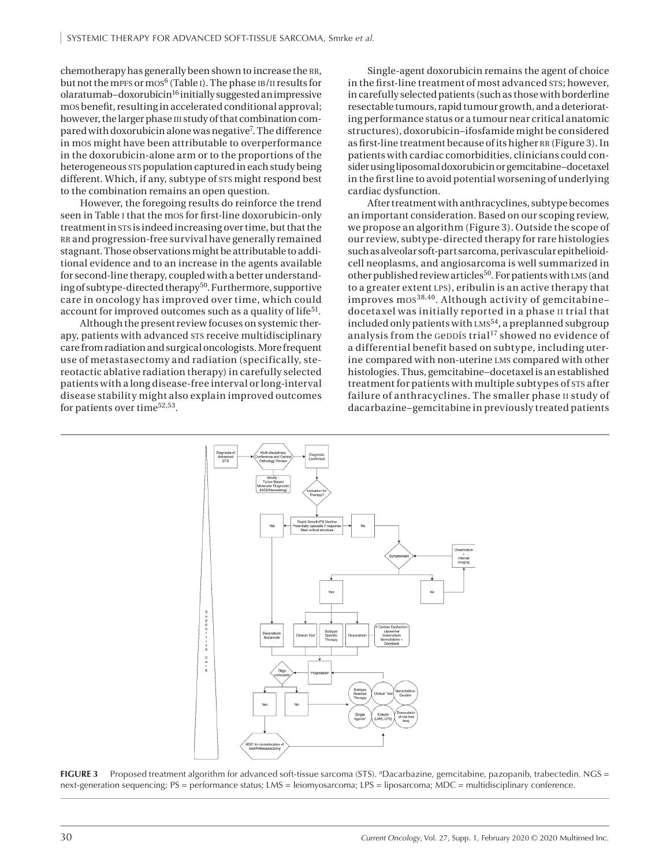chemotherapy has generally been shown to increase the RR, but not the mpFs or mos<sup>6</sup> (Table I). The phase IB/II results for  $olaratumab-doxorubicin<sup>16</sup> initially suggested an impressive$ mos benefit, resulting in accelerated conditional approval; however, the larger phase iii study of that combination compared with doxorubicin alone was negative<sup>7</sup>. The difference in mos might have been attributable to overperformance in the doxorubicin-alone arm or to the proportions of the heterogeneous sts population captured in each study being different. Which, if any, subtype of sts might respond best to the combination remains an open question.

However, the foregoing results do reinforce the trend seen in Table i that the mos for first-line doxorubicin-only treatment in sts is indeed increasing over time, but that the rr and progression-free survival have generally remained stagnant. Those observations might be attributable to additional evidence and to an increase in the agents available for second-line therapy, coupled with a better understanding of subtype-directed therapy<sup>50</sup>. Furthermore, supportive care in oncology has improved over time, which could account for improved outcomes such as a quality of life<sup>51</sup>.

Although the present review focuses on systemic therapy, patients with advanced sts receive multidisciplinary care from radiation and surgical oncologists. More frequent use of metastasectomy and radiation (specifically, stereotactic ablative radiation therapy) in carefully selected patients with a long disease-free interval or long-interval disease stability might also explain improved outcomes for patients over time<sup>52,53</sup>.

Single-agent doxorubicin remains the agent of choice in the first-line treatment of most advanced sts; however, in carefully selected patients (such as those with borderline resectable tumours, rapid tumour growth, and a deteriorating performance status or a tumour near critical anatomic structures), doxorubicin–ifosfamide might be considered as first-line treatment because of its higher RR (Figure 3). In patients with cardiac comorbidities, clinicians could consider using liposomal doxorubicin or gemcitabine–docetaxel in the first line to avoid potential worsening of underlying cardiac dysfunction.

After treatment with anthracyclines, subtype becomes an important consideration. Based on our scoping review, we propose an algorithm (Figure 3). Outside the scope of our review, subtype-directed therapy for rare histologies such as alveolar soft-part sarcoma, perivascular epithelioidcell neoplasms, and angiosarcoma is well summarized in other published review articles<sup>50</sup>. For patients with LMS (and to a greater extent lps), eribulin is an active therapy that improves mos38,40. Although activity of gemcitabine– docetaxel was initially reported in a phase ii trial that included only patients with LMS<sup>54</sup>, a preplanned subgroup analysis from the GeDDis trial<sup>17</sup> showed no evidence of a differential benefit based on subtype, including uterine compared with non-uterine lms compared with other histologies. Thus, gemcitabine–docetaxel is an established treatment for patients with multiple subtypes of sts after failure of anthracyclines. The smaller phase ii study of dacarbazine–gemcitabine in previously treated patients



**FIGURE 3** Proposed treatment algorithm for advanced soft-tissue sarcoma (STS). <sup>a</sup>Dacarbazine, gemcitabine, pazopanib, trabectedin. NGS = next-generation sequencing; PS = performance status; LMS = leiomyosarcoma; LPS = liposarcoma; MDC = multidisciplinary conference.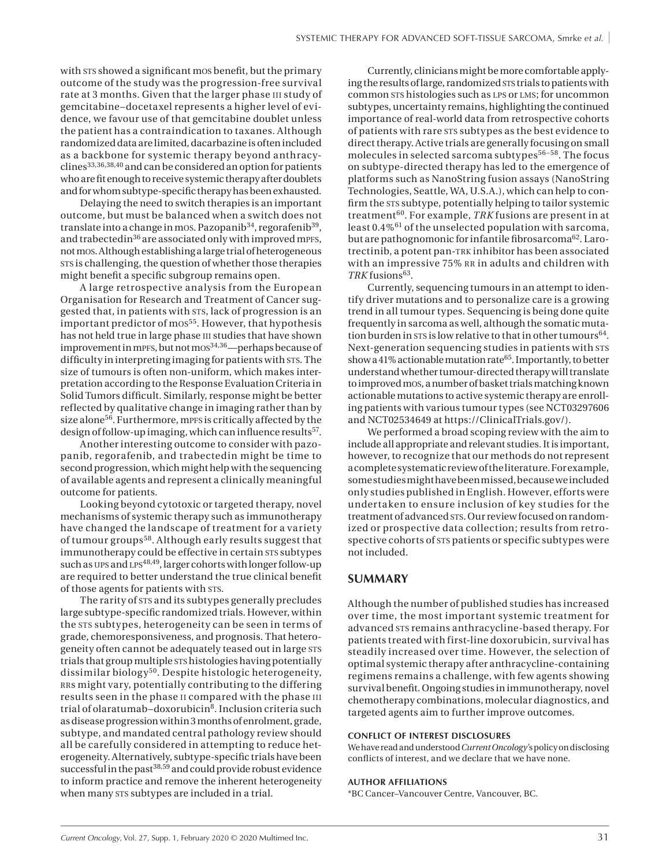with sts showed a significant mos benefit, but the primary outcome of the study was the progression-free survival rate at 3 months. Given that the larger phase III study of gemcitabine–docetaxel represents a higher level of evidence, we favour use of that gemcitabine doublet unless the patient has a contraindication to taxanes. Although randomized data are limited, dacarbazine is often included as a backbone for systemic therapy beyond anthracy $clines<sup>33,36,38,40</sup>$  and can be considered an option for patients who are fit enough to receive systemic therapy after doublets and for whom subtype-specific therapy has been exhausted.

Delaying the need to switch therapies is an important outcome, but must be balanced when a switch does not translate into a change in mos. Pazopani $b^{34}$ , regorafeni $b^{39}$ , and trabectedin<sup>36</sup> are associated only with improved mpfs, not mos. Although establishing a large trial of heterogeneous sts is challenging, the question of whether those therapies might benefit a specific subgroup remains open.

A large retrospective analysis from the European Organisation for Research and Treatment of Cancer suggested that, in patients with sts, lack of progression is an important predictor of mos<sup>55</sup>. However, that hypothesis has not held true in large phase III studies that have shown improvement in mpFs, but not mos<sup>34,36</sup>—perhaps because of difficulty in interpreting imaging for patients with sts. The size of tumours is often non-uniform, which makes interpretation according to the Response Evaluation Criteria in Solid Tumors difficult. Similarly, response might be better reflected by qualitative change in imaging rather than by size alone<sup>56</sup>. Furthermore, mPFS is critically affected by the design of follow-up imaging, which can influence results<sup>57</sup>.

Another interesting outcome to consider with pazopanib, regorafenib, and trabectedin might be time to second progression, which might help with the sequencing of available agents and represent a clinically meaningful outcome for patients.

Looking beyond cytotoxic or targeted therapy, novel mechanisms of systemic therapy such as immunotherapy have changed the landscape of treatment for a variety of tumour groups58. Although early results suggest that immunotherapy could be effective in certain sts subtypes such as UPS and LPS<sup>48,49</sup>, larger cohorts with longer follow-up are required to better understand the true clinical benefit of those agents for patients with sts.

The rarity of sts and its subtypes generally precludes large subtype-specific randomized trials. However, within the sts subtypes, heterogeneity can be seen in terms of grade, chemoresponsiveness, and prognosis. That heterogeneity often cannot be adequately teased out in large STS trials that group multiple sts histologies having potentially dissimilar biology<sup>50</sup>. Despite histologic heterogeneity, RRS might vary, potentially contributing to the differing results seen in the phase ii compared with the phase iii trial of olaratumab-doxorubicin<sup>8</sup>. Inclusion criteria such as disease progression within 3 months of enrolment, grade, subtype, and mandated central pathology review should all be carefully considered in attempting to reduce heterogeneity. Alternatively, subtype-specific trials have been successful in the past<sup>38,59</sup> and could provide robust evidence to inform practice and remove the inherent heterogeneity when many sts subtypes are included in a trial.

Currently, clinicians might be more comfortable applying the results of large, randomized sts trials to patients with common sts histologies such as LPS or LMS; for uncommon subtypes, uncertainty remains, highlighting the continued importance of real-world data from retrospective cohorts of patients with rare sts subtypes as the best evidence to direct therapy. Active trials are generally focusing on small molecules in selected sarcoma subtypes $56-58$ . The focus on subtype-directed therapy has led to the emergence of platforms such as NanoString fusion assays (NanoString Technologies, Seattle, WA, U.S.A.), which can help to confirm the sts subtype, potentially helping to tailor systemic treatment60. For example, *TRK* fusions are present in at least 0.4%61 of the unselected population with sarcoma, but are pathognomonic for infantile fibrosarcoma<sup>62</sup>. Larotrectinib, a potent pan-trk inhibitor has been associated with an impressive 75% RR in adults and children with TRK fusions<sup>63</sup>.

Currently, sequencing tumours in an attempt to identify driver mutations and to personalize care is a growing trend in all tumour types. Sequencing is being done quite frequently in sarcoma as well, although the somatic mutation burden in sts is low relative to that in other tumours  $64$ . Next-generation sequencing studies in patients with STS show a 41% actionable mutation rate<sup>65</sup>. Importantly, to better understand whether tumour-directed therapy will translate to improved mos, a number of basket trials matching known actionable mutations to active systemic therapy are enrolling patients with various tumour types (see NCT03297606 and NCT02534649 at<https://ClinicalTrials.gov/>).

We performed a broad scoping review with the aim to include all appropriate and relevant studies. It is important, however, to recognize that our methods do not represent a complete systematic review of the literature. For example, some studies might have been missed, because we included only studies published in English. However, efforts were undertaken to ensure inclusion of key studies for the treatment of advanced sts. Our review focused on randomized or prospective data collection; results from retrospective cohorts of sts patients or specific subtypes were not included.

#### **SUMMARY**

Although the number of published studies has increased over time, the most important systemic treatment for advanced sts remains anthracycline-based therapy. For patients treated with first-line doxorubicin, survival has steadily increased over time. However, the selection of optimal systemic therapy after anthracycline-containing regimens remains a challenge, with few agents showing survival benefit. Ongoing studies in immunotherapy, novel chemotherapy combinations, molecular diagnostics, and targeted agents aim to further improve outcomes.

#### **CONFLICT OF INTEREST DISCLOSURES**

We have read and understood *Current Oncology'*s policy on disclosing conflicts of interest, and we declare that we have none.

#### **AUTHOR AFFILIATIONS**

\*BC Cancer–Vancouver Centre, Vancouver, BC.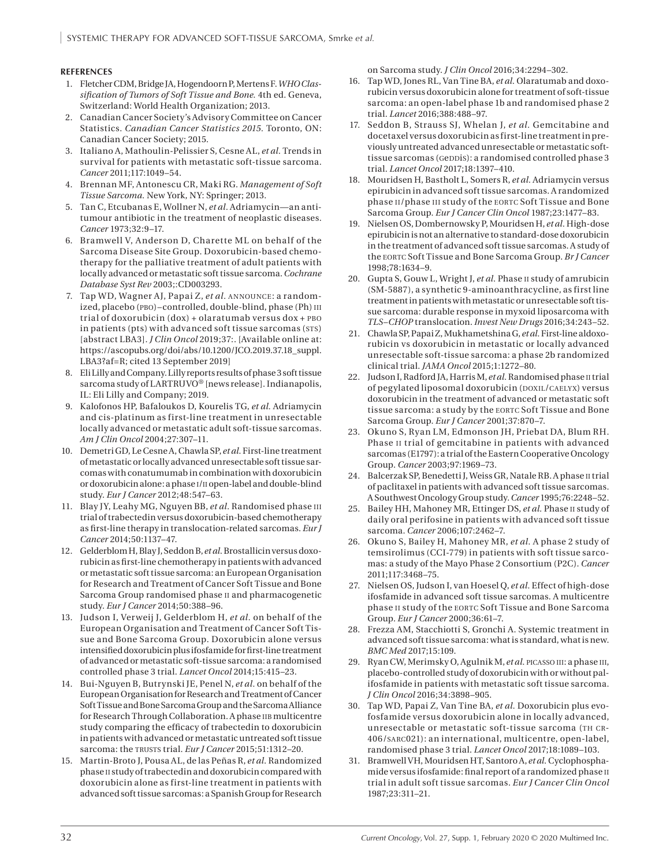#### **REFERENCES**

- 1. Fletcher CDM, Bridge JA, Hogendoorn P, Mertens F. *WHO Classification of Tumors of Soft Tissue and Bone.* 4th ed. Geneva, Switzerland: World Health Organization; 2013.
- 2. Canadian Cancer Society's Advisory Committee on Cancer Statistics. *Canadian Cancer Statistics 2015.* Toronto, ON: Canadian Cancer Society; 2015.
- 3. Italiano A, Mathoulin-Pelissier S, Cesne AL, *et al.* Trends in survival for patients with metastatic soft-tissue sarcoma. *Cancer* 2011;117:1049–54.
- 4. Brennan MF, Antonescu CR, Maki RG. *Management of Soft Tissue Sarcoma.* New York, NY: Springer; 2013.
- 5. Tan C, Etcubanas E, Wollner N, *et al.* Adriamycin—an antitumour antibiotic in the treatment of neoplastic diseases. *Cancer* 1973;32:9–17.
- 6. Bramwell V, Anderson D, Charette ML on behalf of the Sarcoma Disease Site Group. Doxorubicin-based chemotherapy for the palliative treatment of adult patients with locally advanced or metastatic soft tissue sarcoma. *Cochrane Database Syst Rev* 2003;:CD003293.
- 7. Tap WD, Wagner AJ, Papai Z, *et al.* announce: a randomized, placebo (PBO)–controlled, double-blind, phase (Ph) III trial of doxorubicin (dox) + olaratumab versus dox + pbo in patients (pts) with advanced soft tissue sarcomas (STS) [abstract LBA3]. *J Clin Oncol* 2019;37:. [Available online at: [https://ascopubs.org/doi/abs/10.1200/JCO.2019.37.18\\_suppl.](https://ascopubs.org/doi/abs/10.1200/JCO.2019.37.18_suppl.LBA3?af=R) [LBA3?af=R;](https://ascopubs.org/doi/abs/10.1200/JCO.2019.37.18_suppl.LBA3?af=R) cited 13 September 2019]
- 8. Eli Lilly and Company. Lilly reports results of phase 3 soft tissue sarcoma study of LARTRUVO® [news release]. Indianapolis, IL: Eli Lilly and Company; 2019.
- 9. Kalofonos HP, Bafaloukos D, Kourelis TG, *et al.* Adriamycin and cis-platinum as first-line treatment in unresectable locally advanced or metastatic adult soft-tissue sarcomas. *Am J Clin Oncol* 2004;27:307–11.
- 10. Demetri GD, Le Cesne A, Chawla SP, *et al.* First-line treatment of metastatic or locally advanced unresectable soft tissue sarcomas with conatumumab in combination with doxorubicin or doxorubicin alone: a phase i/ii open-label and double-blind study. *Eur J Cancer* 2012;48:547–63.
- 11. Blay JY, Leahy MG, Nguyen BB, *et al.* Randomised phase iii trial of trabectedin versus doxorubicin-based chemotherapy as first-line therapy in translocation-related sarcomas. *Eur J Cancer* 2014;50:1137–47.
- 12. Gelderblom H, Blay J, Seddon B, *et al.* Brostallicin versus doxorubicin as first-line chemotherapy in patients with advanced or metastatic soft tissue sarcoma: an European Organisation for Research and Treatment of Cancer Soft Tissue and Bone Sarcoma Group randomised phase ii and pharmacogenetic study. *Eur J Cancer* 2014;50:388–96.
- 13. Judson I, Verweij J, Gelderblom H, *et al.* on behalf of the European Organisation and Treatment of Cancer Soft Tissue and Bone Sarcoma Group. Doxorubicin alone versus intensified doxorubicin plus ifosfamide for first-line treatment of advanced or metastatic soft-tissue sarcoma: a randomised controlled phase 3 trial. *Lancet Oncol* 2014;15:415–23.
- 14. Bui-Nguyen B, Butrynski JE, Penel N, *et al.* on behalf of the European Organisation for Research and Treatment of Cancer Soft Tissue and Bone Sarcoma Group and the Sarcoma Alliance for Research Through Collaboration. A phase iib multicentre study comparing the efficacy of trabectedin to doxorubicin in patients with advanced or metastatic untreated soft tissue sarcoma: the TRUSTS trial. *Eur J Cancer* 2015;51:1312-20.
- 15. Martin-Broto J, Pousa AL, de las Peñas R, *et al.* Randomized phase ii study of trabectedin and doxorubicin compared with doxorubicin alone as first-line treatment in patients with advanced soft tissue sarcomas: a Spanish Group for Research

on Sarcoma study. *J Clin Oncol* 2016;34:2294–302.

- 16. Tap WD, Jones RL, Van Tine BA, *et al.* Olaratumab and doxorubicin versus doxorubicin alone for treatment of soft-tissue sarcoma: an open-label phase 1b and randomised phase 2 trial. *Lancet* 2016;388:488–97.
- 17. Seddon B, Strauss SJ, Whelan J, *et al.* Gemcitabine and docetaxel versus doxorubicin as first-line treatment in previously untreated advanced unresectable or metastatic softtissue sarcomas (Geppis): a randomised controlled phase 3 trial. *Lancet Oncol* 2017;18:1397–410.
- 18. Mouridsen H, Bastholt L, Somers R, *et al.* Adriamycin versus epirubicin in advanced soft tissue sarcomas. A randomized phase ii/phase iii study of the eortc Soft Tissue and Bone Sarcoma Group. *Eur J Cancer Clin Oncol* 1987;23:1477–83.
- 19. Nielsen OS, Dombernowsky P, Mouridsen H, *et al.* High-dose epirubicin is not an alternative to standard-dose doxorubicin in the treatment of advanced soft tissue sarcomas. A study of the eortc Soft Tissue and Bone Sarcoma Group. *Br J Cancer* 1998;78:1634–9.
- 20. Gupta S, Gouw L, Wright J, *et al.* Phase ii study of amrubicin (SM-5887), a synthetic 9-aminoanthracycline, as first line treatment in patients with metastatic or unresectable soft tissue sarcoma: durable response in myxoid liposarcoma with *TLS–CHOP* translocation. *Invest New Drugs* 2016;34:243–52.
- 21. Chawla SP, Papai Z, Mukhametshina G, *et al.* First-line aldoxorubicin vs doxorubicin in metastatic or locally advanced unresectable soft-tissue sarcoma: a phase 2b randomized clinical trial. *JAMA Oncol* 2015;1:1272–80.
- 22. Judson I, Radford JA, Harris M, et al. Randomised phase II trial of pegylated liposomal doxorubicin (DOXIL/CAELYX) versus doxorubicin in the treatment of advanced or metastatic soft tissue sarcoma: a study by the EORTC Soft Tissue and Bone Sarcoma Group. *Eur J Cancer* 2001;37:870–7.
- 23. Okuno S, Ryan LM, Edmonson JH, Priebat DA, Blum RH. Phase II trial of gemcitabine in patients with advanced sarcomas (E1797): a trial of the Eastern Cooperative Oncology Group. *Cancer* 2003;97:1969–73.
- 24. Balcerzak SP, Benedetti J, Weiss GR, Natale RB. A phase II trial of paclitaxel in patients with advanced soft tissue sarcomas. A Southwest Oncology Group study. *Cancer* 1995;76:2248–52.
- 25. Bailey HH, Mahoney MR, Ettinger DS, *et al.* Phase ii study of daily oral perifosine in patients with advanced soft tissue sarcoma. *Cancer* 2006;107:2462–7.
- 26. Okuno S, Bailey H, Mahoney MR, *et al.* A phase 2 study of temsirolimus (CCI-779) in patients with soft tissue sarcomas: a study of the Mayo Phase 2 Consortium (P2C). *Cancer* 2011;117:3468–75.
- 27. Nielsen OS, Judson I, van Hoesel Q, *et al.* Effect of high-dose ifosfamide in advanced soft tissue sarcomas. A multicentre phase II study of the EORTC Soft Tissue and Bone Sarcoma Group. *Eur J Cancer* 2000;36:61–7.
- 28. Frezza AM, Stacchiotti S, Gronchi A. Systemic treatment in advanced soft tissue sarcoma: what is standard, what is new. *BMC Med* 2017;15:109.
- 29. Ryan CW, Merimsky O, Agulnik M, *et al.* picasso iii: a phase iii, placebo-controlled study of doxorubicin with or without palifosfamide in patients with metastatic soft tissue sarcoma. *J Clin Oncol* 2016;34:3898–905.
- 30. Tap WD, Papai Z, Van Tine BA, *et al.* Doxorubicin plus evofosfamide versus doxorubicin alone in locally advanced, unresectable or metastatic soft-tissue sarcoma (TH CR-406/sarc021): an international, multicentre, open-label, randomised phase 3 trial. *Lancet Oncol* 2017;18:1089–103.
- 31. Bramwell VH, Mouridsen HT, Santoro A, *et al.* Cyclophosphamide versus ifosfamide: final report of a randomized phase ii trial in adult soft tissue sarcomas. *Eur J Cancer Clin Oncol* 1987;23:311–21.